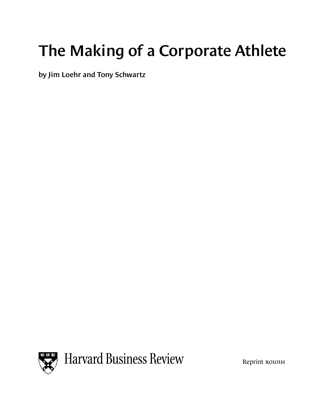# **The Making of a Corporate Athlete**

**by Jim Loehr and Tony Schwartz**



Reprint R0101H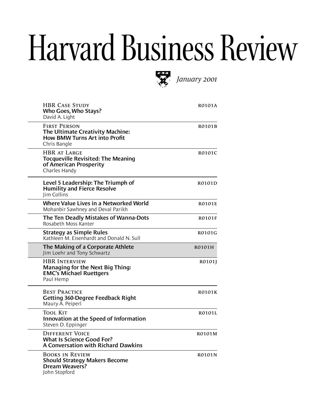# Harvard Business Review



| <b>HBR CASE STUDY</b><br>Who Goes, Who Stays?<br>David A. Light                                                 | R0101A        |
|-----------------------------------------------------------------------------------------------------------------|---------------|
| <b>FIRST PERSON</b><br>The Ultimate Creativity Machine:<br><b>How BMW Turns Art into Profit</b><br>Chris Bangle | R0101B        |
| <b>HBR AT LARGE</b><br><b>Tocqueville Revisited: The Meaning</b><br>of American Prosperity<br>Charles Handy     | R0101C        |
| Level 5 Leadership: The Triumph of<br><b>Humility and Fierce Resolve</b><br>Jim Collins                         | R0101D        |
| Where Value Lives in a Networked World<br>Mohanbir Sawhney and Deval Parikh                                     | <b>R0101E</b> |
| The Ten Deadly Mistakes of Wanna-Dots<br>Rosabeth Moss Kanter                                                   | <b>R0101F</b> |
| <b>Strategy as Simple Rules</b><br>Kathleen M. Eisenhardt and Donald N. Sull                                    | R0101G        |
| The Making of a Corporate Athlete<br>Jim Loehr and Tony Schwartz                                                | R0101H        |
| <b>HBR INTERVIEW</b><br><b>Managing for the Next Big Thing:</b><br><b>EMC's Michael Ruettgers</b><br>Paul Hemp  | R0101J        |
| <b>BEST PRACTICE</b><br><b>Getting 360-Degree Feedback Right</b><br>Maury A. Peiperl                            | <b>R0101K</b> |
| <b>TOOL KIT</b><br>Innovation at the Speed of Information<br>Steven D. Eppinger                                 | R0101L        |
| <b>DIFFERENT VOICE</b><br><b>What Is Science Good For?</b><br><b>A Conversation with Richard Dawkins</b>        | R0101M        |
| <b>BOOKS IN REVIEW</b><br><b>Should Strategy Makers Become</b><br><b>Dream Weavers?</b><br>John Stopford        | R0101N        |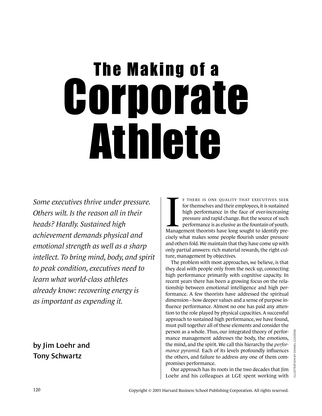# The Making of a Corporate At hlete

*Some executives thrive under pressure. Others wilt. Is the reason all in their heads? Hardly. Sustained high achievement demands physical and emotional strength as well as a sharp intellect. To bring mind, body, and spirit to peak condition, executives need to learn what world-class athletes already know: recovering energy is as important as expending it.*

**by Jim Loehr and Tony Schwartz**

F THERE IS ONE QUALITY THAT EXECUTIVES SEEK<br>for themselves and their employees, it is sustained<br>high performance in the face of ever-increasing<br>pressure and rapid change. But the source of such<br>performance is as elusive as F THERE IS ONE QUALITY THAT EXECUTIVES SEEK for themselves and their employees, it is sustained high performance in the face of ever-increasing pressure and rapid change. But the source of such performance is as elusive as the fountain of youth. cisely what makes some people flourish under pressure and others fold. We maintain that they have come up with only partial answers: rich material rewards, the right culture, management by objectives.

The problem with most approaches, we believe, is that they deal with people only from the neck up, connecting high performance primarily with cognitive capacity. In recent years there has been a growing focus on the relationship between emotional intelligence and high performance. A few theorists have addressed the spiritual dimension – how deeper values and a sense of purpose influence performance. Almost no one has paid any attention to the role played by physical capacities. A successful approach to sustained high performance, we have found, must pull together all of these elements and consider the person as a whole. Thus, our integrated theory of performance management addresses the body, the emotions, the mind, and the spirit. We call this hierarchy the *performance pyramid.* Each of its levels profoundly influences the others, and failure to address any one of them compromises performance.

Our approach has its roots in the two decades that Jim Loehr and his colleagues at LGE spent working with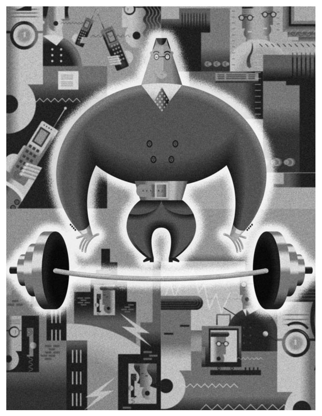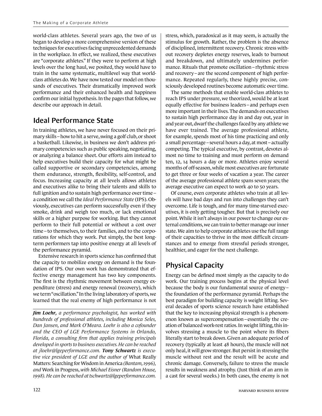world-class athletes. Several years ago, the two of us began to develop a more comprehensive version of these techniques for executives facing unprecedented demands in the workplace. In effect, we realized, these executives are "corporate athletes." If they were to perform at high levels over the long haul, we posited, they would have to train in the same systematic, multilevel way that worldclass athletes do. We have now tested our model on thousands of executives. Their dramatically improved work performance and their enhanced health and happiness confirm our initial hypothesis. In the pages that follow, we describe our approach in detail.

# **Ideal Performance State**

In training athletes, we have never focused on their primary skills – how to hit a serve, swing a golf club, or shoot a basketball. Likewise, in business we don't address primary competencies such as public speaking, negotiating, or analyzing a balance sheet. Our efforts aim instead to help executives build their capacity for what might be called supportive or secondary competencies, among them endurance, strength, flexibility, self-control, and focus. Increasing capacity at all levels allows athletes and executives alike to bring their talents and skills to full ignition and to sustain high performance over time – a condition we call the *Ideal Performance State* (IPS). Obviously, executives can perform successfully even if they smoke, drink and weigh too much, or lack emotional skills or a higher purpose for working. But they cannot perform to their full potential or without a cost over time – to themselves, to their families, and to the corporations for which they work. Put simply, the best longterm performers tap into positive energy at all levels of the performance pyramid.

Extensive research in sports science has confirmed that the capacity to mobilize energy on demand is the foundation of IPS. Our own work has demonstrated that effective energy management has two key components. The first is the rhythmic movement between energy expenditure (stress) and energy renewal (recovery), which we term "oscillation."In the living laboratory of sports, we learned that the real enemy of high performance is not

*Jim Loehr, a performance psychologist, has worked with hundreds of professional athletes, including Monica Seles, Dan Jansen, and Mark O'Meara.Loehr is also a cofounder and the CEO of LGE Performance Systems in Orlando, Florida, a consulting firm that applies training principals developed in sports to business executives.He can be reached at jloehr@lgeperformance.com. Tony Schwartz is executive vice president of LGE and the author of* What Really Matters: Searching for Wisdom in America *(Bantam,1996), and* Work in Progress, *with Michael Eisner (Random House, 1998).He can be reached at tschwartz@lgeperformance.com.* stress, which, paradoxical as it may seem, is actually the stimulus for growth. Rather, the problem is the absence of disciplined, intermittent recovery. Chronic stress without recovery depletes energy reserves, leads to burnout and breakdown, and ultimately undermines performance. Rituals that promote oscillation – rhythmic stress and recovery – are the second component of high performance. Repeated regularly, these highly precise, consciously developed routines become automatic over time.

The same methods that enable world-class athletes to reach IPS under pressure, we theorized, would be at least equally effective for business leaders – and perhaps even more important in their lives. The demands on executives to sustain high performance day in and day out, year in and year out, dwarf the challenges faced by any athlete we have ever trained. The average professional athlete, for example, spends most of his time practicing and only a small percentage – several hours a day, at most – actually competing. The typical executive, by contrast, devotes almost no time to training and must perform on demand ten, 12, 14 hours a day or more. Athletes enjoy several months of off-season, while most executives are fortunate to get three or four weeks of vacation a year. The career of the average professional athlete spans seven years; the average executive can expect to work 40 to 50 years.

Of course, even corporate athletes who train at all levels will have bad days and run into challenges they can't overcome. Life is tough, and for many time-starved executives, it is only getting tougher. But that is precisely our point. While it isn't always in our power to change our external conditions, we can train to better manage our inner state. We aim to help corporate athletes use the full range of their capacities to thrive in the most difficult circumstances and to emerge from stressful periods stronger, healthier, and eager for the next challenge.

# **Physical Capacity**

Energy can be defined most simply as the capacity to do work. Our training process begins at the physical level because the body is our fundamental source of energy – the foundation of the performance pyramid. Perhaps the best paradigm for building capacity is weight lifting. Several decades of sports science research have established that the key to increasing physical strength is a phenomenon known as supercompensation – essentially the creation of balanced work-rest ratios. In weight lifting, this involves stressing a muscle to the point where its fibers literally start to break down. Given an adequate period of recovery (typically at least 48 hours), the muscle will not only heal, it will grow stronger. But persist in stressing the muscle without rest and the result will be acute and chronic damage. Conversely, failure to stress the muscle results in weakness and atrophy. (Just think of an arm in a cast for several weeks.) In both cases, the enemy is not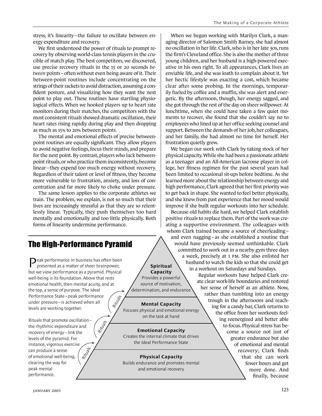stress, it's linearity – the failure to oscillate between energy expenditure and recovery.

We first understood the power of rituals to prompt recovery by observing world-class tennis players in the crucible of match play. The best competitors, we discovered, use precise recovery rituals in the 15 or 20 seconds *between* points– often without even being aware of it. Their between-point routines include concentrating on the strings of their rackets to avoid distraction, assuming a confident posture, and visualizing how they want the next point to play out. These routines have startling physiological effects. When we hooked players up to heart rate monitors during their matches, the competitors with the most consistent rituals showed dramatic oscillation, their heart rates rising rapidly during play and then dropping as much as 15% to 20% between points.

The mental and emotional effects of precise betweenpoint routines are equally significant. They allow players to avoid negative feelings, focus their minds, and prepare for the next point. By contrast, players who lack betweenpoint rituals, or who practice them inconsistently, become linear – they expend too much energy without recovery. Regardless of their talent or level of fitness, they become more vulnerable to frustration, anxiety, and loss of concentration and far more likely to choke under pressure.

The same lesson applies to the corporate athletes we train. The problem, we explain, is not so much that their lives are increasingly stressful as that they are so relentlessly linear. Typically, they push themselves too hard mentally and emotionally and too little physically. Both forms of linearity undermine performance.

Rituals

# The High-Performance Pyramid

**Peak performance in business has often been** presented as a matter of sheer brainpower, but we view performance as a pyramid. Physical well-being is its foundation. Above that rests emotional health, then mental acuity, and at the top, a sense of purpose. The Ideal Performance State – peak performance under pressure – is achieved when all levels are working together. Rituals

Rituals that promote oscillation – the rhythmic expenditure and recovery of energy – link the levels of the pyramid. For instance, vigorous exercise can produce a sense of emotional well-being, clearing the way for peak mental performance. Rituals

#### **Spiritual Capacity** Provides a powerful

source of motivation, determination, and endurance

**Mental Capacity** Focuses physical and emotional energy on the task at hand

**Emotional Capacity** Creates the internal climate that drives the Ideal Performance State

**Physical Capacity** Builds endurance and promotes mental and emotional recovery

When we began working with Marilyn Clark, a managing director of Salomon Smith Barney, she had almost no oscillation in her life. Clark, who is in her late 30s, runs the firm's Cleveland office. She is also the mother of three young children, and her husband is a high-powered executive in his own right. To all appearances, Clark lives an enviable life, and she was loath to complain about it. Yet her hectic lifestyle was exacting a cost, which became clear after some probing. In the mornings, temporarily fueled by coffee and a muffin, she was alert and energetic. By the afternoon, though, her energy sagged, and she got through the rest of the day on sheer willpower. At lunchtime, when she could have taken a few quiet moments to recover, she found that she couldn't say no to employees who lined up at her office seeking counsel and support. Between the demands of her job, her colleagues, and her family, she had almost no time for herself. Her frustration quietly grew.

We began our work with Clark by taking stock of her physical capacity. While she had been a passionate athlete as a teenager and an All-American lacrosse player in college, her fitness regimen for the past several years had been limited to occasional sit-ups before bedtime. As she learned more about the relationship between energy and high performance, Clark agreed that her first priority was to get back in shape. She wanted to feel better physically, and she knew from past experience that her mood would improve if she built regular workouts into her schedule.

Because old habits die hard, we helped Clark establish positive rituals to replace them. Part of the work was creating a supportive environment. The colleagues with whom Clark trained became a source of cheerleading – and even nagging – as she established a routine that would have previously seemed unthinkable. Clark committed to work out in a nearby gym three days a week, precisely at 1 pm. She also enlisted her husband to watch the kids so that she could get in a workout on Saturdays and Sundays.

Regular workouts have helped Clark create clear work-life boundaries and restored her sense of herself as an athlete. Now, rather than tumbling into an energy trough in the afternoons and reaching for a candy bar, Clark returns to the office from her workouts feeling reenergized and better able to focus. Physical stress has become a source not just of greater endurance but also of emotional and mental recovery; Clark finds that she can work fewer hours and get more done. And finally, because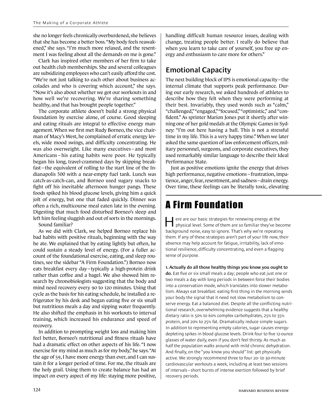she no longer feels chronically overburdened, she believes that she has become a better boss."My body feels reawakened," she says. "I'm much more relaxed, and the resentment I was feeling about all the demands on me is gone."

Clark has inspired other members of her firm to take out health club memberships. She and several colleagues are subsidizing employees who can't easily afford the cost. "We're not just talking to each other about business accolades and who is covering which account," she says. "Now it's also about whether we got our workouts in and how well we're recovering. We're sharing something healthy, and that has brought people together."

The corporate athlete doesn't build a strong physical foundation by exercise alone, of course. Good sleeping and eating rituals are integral to effective energy management. When we first met Rudy Borneo, the vice chairman of Macy's West, he complained of erratic energy levels, wide mood swings, and difficulty concentrating. He was also overweight. Like many executives – and most Americans – his eating habits were poor. He typically began his long, travel-crammed days by skipping breakfast – the equivalent of rolling to the start line of the Indianapolis 500 with a near-empty fuel tank. Lunch was catch-as-catch-can, and Borneo used sugary snacks to fight off his inevitable afternoon hunger pangs. These foods spiked his blood glucose levels, giving him a quick jolt of energy, but one that faded quickly. Dinner was often a rich, multicourse meal eaten late in the evening. Digesting that much food disturbed Borneo's sleep and left him feeling sluggish and out of sorts in the mornings.

Sound familiar?

As we did with Clark, we helped Borneo replace his bad habits with positive rituals, beginning with the way he ate. We explained that by eating lightly but often, he could sustain a steady level of energy. (For a fuller account of the foundational exercise, eating, and sleep routines, see the sidebar "A Firm Foundation.") Borneo now eats breakfast every day – typically a high-protein drink rather than coffee and a bagel. We also showed him research by chronobiologists suggesting that the body and mind need recovery every 90 to 120 minutes. Using that cycle as the basis for his eating schedule, he installed a refrigerator by his desk and began eating five or six small but nutritious meals a day and sipping water frequently. He also shifted the emphasis in his workouts to interval training, which increased his endurance and speed of recovery.

In addition to prompting weight loss and making him feel better, Borneo's nutritional and fitness rituals have had a dramatic effect on other aspects of his life. "I now exercise for my mind as much as for my body,"he says."At the age of 59, I have more energy than ever, and I can sustain it for a longer period of time. For me, the rituals are the holy grail. Using them to create balance has had an impact on every aspect of my life: staying more positive,

handling difficult human resource issues, dealing with change, treating people better. I really do believe that when you learn to take care of yourself, you free up energy and enthusiasm to care more for others."

## **Emotional Capacity**

The next building block of IPS is emotional capacity – the internal climate that supports peak performance. During our early research, we asked hundreds of athletes to describe how they felt when they were performing at their best. Invariably, they used words such as "calm," "challenged,""engaged,""focused,""optimistic," and "confident." As sprinter Marion Jones put it shortly after winning one of her gold medals at the Olympic Games in Sydney: "I'm out here having a ball. This is not a stressful time in my life. This is a very happy time." When we later asked the same question of law enforcement officers, military personnel, surgeons, and corporate executives, they used remarkably similar language to describe their Ideal Performance State.

Just as positive emotions ignite the energy that drives high performance, negative emotions–frustration, impatience, anger, fear, resentment, and sadness – drain energy. Over time, these feelings can be literally toxic, elevating

# A Firm Foundation

ere are our basic strategies for renewing energy at the physical level. Some of them are so familiar they've become background noise, easy to ignore. That's why we're repeating them. If any of these strategies aren't part of your life now, their absence may help account for fatigue, irritability, lack of emotional resilience, difficulty concentrating, and even a flagging sense of purpose. H

**1. Actually do all those healthy things you know you ought to do.** Eat five or six small meals a day; people who eat just one or two meals a day with long periods in between force their bodies into a conservation mode, which translates into slower metabolism. Always eat breakfast: eating first thing in the morning sends your body the signal that it need not slow metabolism to conserve energy. Eat a balanced diet. Despite all the conflicting nutritional research, overwhelming evidence suggests that a healthy dietary ratio is 50% to 60% complex carbohydrates, 25% to 35% protein, and 20% to 25% fat. Dramatically reduce simple sugars. In addition to representing empty calories, sugar causes energydepleting spikes in blood glucose levels. Drink four to five 12-ounce glasses of water daily, even if you don't feel thirsty. As much as half the population walks around with mild chronic dehydration. And finally, on the "you know you should" list: get physically active. We strongly recommend three to four 20- to 30-minute cardiovascular workouts a week, including at least two sessions of intervals – short bursts of intense exertion followed by brief recovery periods.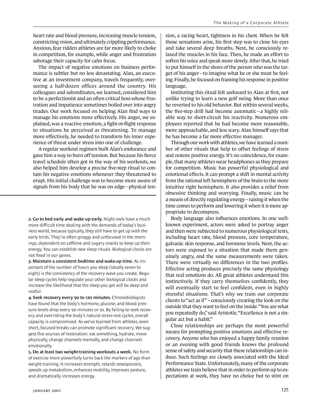heart rate and blood pressure, increasing muscle tension, constricting vision, and ultimately crippling performance. Anxious, fear ridden athletes are far more likely to choke in competition, for example, while anger and frustration sabotage their capacity for calm focus.

The impact of negative emotions on business performance is subtler but no less devastating. Alan, an executive at an investment company, travels frequently, overseeing a half-dozen offices around the country. His colleagues and subordinates, we learned, considered him to be a perfectionist and an often critical boss whose frustration and impatience sometimes boiled over into angry tirades. Our work focused on helping Alan find ways to manage his emotions more effectively. His anger, we explained, was a reactive emotion, a fight-or-flight response to situations he perceived as threatening. To manage more effectively, he needed to transform his inner experience of threat under stress into one of challenge.

A regular workout regimen built Alan's endurance and gave him a way to burn off tension. But because his fierce travel schedule often got in the way of his workouts, we also helped him develop a precise five-step ritual to contain his negative emotions whenever they threatened to erupt. His initial challenge was to become more aware of signals from his body that he was on edge – physical ten-

**2. Go to bed early and wake up early.** Night owls have a much more difficult time dealing with the demands of today's business world, because typically, they still have to get up with the early birds. They're often groggy and unfocused in the mornings, dependent on caffeine and sugary snacks to keep up their energy. You can establish new sleep rituals. Biological clocks are not fixed in our genes.

**3. Maintain a consistent bedtime and wake-up time.** As important of the number of hours you sleep (ideally seven to eight) is the consistency of the recovery wave you create. Regular sleep cycles help regulate your other biological clocks and increase the likelihood that the sleep you get will be deep and restful.

**4. Seek recovery every 90 to 120 minutes.** Chronobiologists have found that the body's hormone, glucose, and blood pressure levels drop every 90 minutes or so. By failing to seek recovery and overriding the body's natural stress-rest cycles, overall capacity is compromised. As we've learned from athletes, even short, focused breaks can promote significant recovery. We suggest five sources of restoration: eat something, hydrate, move physically, change channels mentally, and change channels emotionally.

**5. Do at least two weight-training workouts a week.** No form of exercise more powerfully turns back the markers of age than weight training. It increases strength, retards osteoporosis, speeds up metabolism, enhances mobility, improves posture, and dramatically increases energy.

sion, a racing heart, tightness in his chest. When he felt those sensations arise, his first step was to close his eyes and take several deep breaths. Next, he consciously relaxed the muscles in his face. Then, he made an effort to soften his voice and speak more slowly. After that, he tried to put himself in the shoes of the person who was the target of his anger – to imagine what he or she must be feeling. Finally, he focused on framing his response in positive language.

Instituting this ritual felt awkward to Alan at first, not unlike trying to learn a new golf swing. More than once he reverted to his old behavior. But within several weeks, the five-step drill had become automatic – a highly reliable way to short-circuit his reactivity. Numerous employees reported that he had become more reasonable, more approachable, and less scary. Alan himself says that he has become a far more effective manager.

Through our work with athletes, we have learned a number of other rituals that help to offset feelings of stress and restore positive energy. It's no coincidence, for example, that many athletes wear headphones as they prepare for competition. Music has powerful physiological and emotional effects. It can prompt a shift in mental activity from the rational left hemisphere of the brain to the more intuitive right hemisphere. It also provides a relief from obsessive thinking and worrying. Finally, music can be a means of directly regulating energy – raising it when the time comes to perform and lowering it when it is more appropriate to decompress.

Body language also influences emotions. In one wellknown experiment, actors were asked to portray anger and then were subjected to numerous physiological tests, including heart rate, blood pressure, core temperature, galvanic skin response, and hormone levels. Next, the actors were exposed to a situation that made them genuinely angry, and the same measurements were taken. There were virtually no differences in the two profiles. Effective acting produces precisely the same physiology that real emotions do. All great athletes understand this instinctively. If they carry themselves confidently, they will eventually start to feel confident, even in highly stressful situations. That's why we train our corporate clients to "act as if" – consciously creating the look on the outside that they want to feel on the inside."You are what you repeatedly do," said Aristotle."Excellence is not a singular act but a habit."

Close relationships are perhaps the most powerful means for prompting positive emotions and effective recovery. Anyone who has enjoyed a happy family reunion or an evening with good friends knows the profound sense of safety and security that these relationships can induce. Such feelings are closely associated with the Ideal Performance State. Unfortunately, many of the corporate athletes we train believe that in order to perform up to expectations at work, they have no choice but to stint on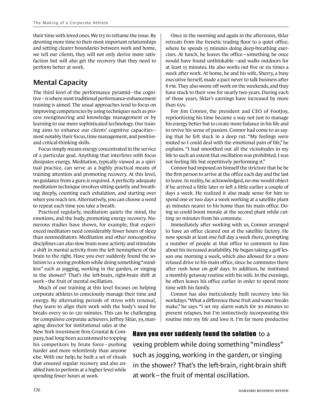their time with loved ones. We try to reframe the issue. By devoting more time to their most important relationships and setting clearer boundaries between work and home, we tell our clients, they will not only derive more satisfaction but will also get the recovery that they need to perform better at work.

### **Mental Capacity**

The third level of the performance pyramid – the cognitive – is where most traditional performance-enhancement training is aimed. The usual approaches tend to focus on improving competencies by using techniques such as process reengineering and knowledge management or by learning to use more sophisticated technology. Our training aims to enhance our clients' cognitive capacities – most notably their focus, time management, and positiveand critical-thinking skills.

Focus simply means energy concentrated in the service of a particular goal. Anything that interferes with focus dissipates energy. Meditation, typically viewed as a spiritual practice, can serve as a highly practical means of training attention and promoting recovery. At this level, no guidance from a guru is required. A perfectly adequate meditation technique involves sitting quietly and breathing deeply, counting each exhalation, and starting over when you reach ten. Alternatively, you can choose a word to repeat each time you take a breath.

Practiced regularly, meditation quiets the mind, the emotions, and the body, promoting energy recovery. Numerous studies have shown, for example, that experienced meditators need considerably fewer hours of sleep than nonmeditators. Meditation and other noncognitive disciplines can also slow brain wave activity and stimulate a shift in mental activity from the left hemisphere of the brain to the right. Have you ever suddenly found the solution to a vexing problem while doing something "mindless" such as jogging, working in the garden, or singing in the shower? That's the left-brain, right-brain shift at work – the fruit of mental oscillation.

Much of our training at this level focuses on helping corporate athletes to consciously manage their time and energy. By alternating periods of stress with renewal, they learn to align their work with the body's need for breaks every 90 to 120 minutes. This can be challenging for compulsive corporate achievers. Jeffrey Sklar, 39, man-

aging director for institutional sales at the New York investment firm Gruntal & Company, had long been accustomed to topping his competitors by brute force – pushing harder and more relentlessly than anyone else. With our help, he built a set of rituals that ensured regular recovery and also enabled him to perform at a higher level while spending fewer hours at work.

Once in the morning and again in the afternoon, Sklar retreats from the frenetic trading floor to a quiet office, where he spends 15 minutes doing deep-breathing exercises. At lunch, he leaves the office – something he once would have found unthinkable – and walks outdoors for at least 15 minutes. He also works out five or six times a week after work. At home, he and his wife, Sherry, a busy executive herself, made a pact never to talk business after 8 pm. They also swore off work on the weekends, and they have stuck to their vow for nearly two years. During each of those years, Sklar's earnings have increased by more than 65%.

For Jim Connor, the president and CEO of FootJoy, reprioritizing his time became a way not just to manage his energy better but to create more balance in his life and to revive his sense of passion. Connor had come to us saying that he felt stuck in a deep rut. "My feelings were muted so I could deal with the emotional pain of life," he explains. "I had smoothed out all the vicissitudes in my life to such an extent that oscillation was prohibited. I was not feeling life but repetitively performing it."

Connor had imposed on himself the stricture that he be the first person to arrive at the office each day and the last to leave. In reality, he acknowledged, no one would object if he arrived a little later or left a little earlier a couple of days a week. He realized it also made sense for him to spend one or two days a week working at a satellite plant 45 minutes nearer to his home than his main office. Doing so could boost morale at the second plant while cutting 90 minutes from his commute.

Immediately after working with us, Connor arranged to have an office cleared out at the satellite factory. He now spends at least one full day a week there, prompting a number of people at that office to comment to him about his increased availability. He began taking a golf lesson one morning a week, which also allowed for a more relaxed drive to his main office, since he commutes there after rush hour on golf days. In addition, he instituted a monthly getaway routine with his wife. In the evenings, he often leaves his office earlier in order to spend more time with his family.

Connor has also meticulously built recovery into his workdays."What a difference these fruit and water breaks make," he says. "I set my alarm watch for 90 minutes to prevent relapses, but I'm instinctively incorporating this routine into my life and love it. I'm far more productive

**Have you ever suddenly found the solution to a** vexing problem while doing something "mindless" such as jogging, working in the garden, or singing in the shower? That's the left-brain, right-brain shift at work –the fruit of mental oscillation.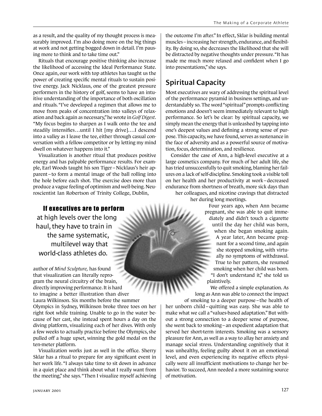as a result, and the quality of my thought process is measurably improved. I'm also doing more on the big things at work and not getting bogged down in detail. I'm pausing more to think and to take time out."

Rituals that encourage positive thinking also increase the likelihood of accessing the Ideal Performance State. Once again, our work with top athletes has taught us the power of creating specific mental rituals to sustain positive energy. Jack Nicklaus, one of the greatest pressure performers in the history of golf, seems to have an intuitive understanding of the importance of both oscillation and rituals. "I've developed a regimen that allows me to move from peaks of concentration into valleys of relaxation and back again as necessary,"he wrote in *Golf Digest*. "My focus begins to sharpen as I walk onto the tee and steadily intensifies…until I hit [my drive].…I descend into a valley as I leave the tee, either through casual conversation with a fellow competitor or by letting my mind dwell on whatever happens into it."

Visualization is another ritual that produces positive energy and has palpable performance results. For example, Earl Woods taught his son Tiger – Nicklaus's heir apparent – to form a mental image of the ball rolling into the hole before each shot. The exercise does more than produce a vague feeling of optimism and well-being. Neuroscientist Ian Robertson of Trinity College, Dublin,

the outcome I'm after." In effect, Sklar is building mental muscles – increasing her strength, endurance, and flexibility. By doing so, she decreases the likelihood that she will be distracted by negative thoughts under pressure."It has made me much more relaxed and confident when I go into presentations," she says.

### **Spiritual Capacity**

Most executives are wary of addressing the spiritual level of the performance pyramid in business settings, and understandably so. The word "spiritual"prompts conflicting emotions and doesn't seem immediately relevant to high performance. So let's be clear: by spiritual capacity, we simply mean the energy that is unleashed by tapping into one's deepest values and defining a strong sense of purpose. This capacity, we have found, serves as sustenance in the face of adversity and as a powerful source of motivation, focus, determination, and resilience.

Consider the case of Ann, a high-level executive at a large cosmetics company. For much of her adult life, she has tried unsuccessfully to quit smoking, blaming her failures on a lack of self-discipline. Smoking took a visible toll on her health and her productivity at work – decreased endurance from shortness of breath, more sick days than

her colleagues, and nicotine cravings that distracted her during long meetings.

Four years ago, when Ann became pregnant, she was able to quit immediately and didn't touch a cigarette until the day her child was born, when she began smoking again. A year later, Ann became pregnant for a second time, and again she stopped smoking, with virtually no symptoms of withdrawal. True to her pattern, she resumed smoking when her child was born. "I don't understand it," she told us plaintively.

We offered a simple explanation. As long as Ann was able to connect the impact

of smoking to a deeper purpose – the health of her unborn child – quitting was easy. She was able to make what we call a "values-based adaptation." But without a strong connection to a deeper sense of purpose, she went back to smoking – an expedient adaptation that served her short-term interests. Smoking was a sensory pleasure for Ann, as well as a way to allay her anxiety and manage social stress. Understanding cognitively that it was unhealthy, feeling guilty about it on an emotional level, and even experiencing its negative effects physically were all insufficient motivations to change her behavior. To succeed, Ann needed a more sustaining source of motivation.

#### If executives are to perform

at high levels over the long haul, they have to train in the same systematic, multilevel way that world-class athletes do.

author of *Mind Sculpture,* has found that visualization can literally reprogram the neural circuitry of the brain, directly improving performance. It is hard to imagine a better illustration than diver Laura Wilkinson. Six months before the summer Olympics in Sydney, Wilkinson broke three toes on her right foot while training. Unable to go in the water because of her cast, she instead spent hours a day on the diving platform, visualizing each of her dives. With only a few weeks to actually practice before the Olympics, she pulled off a huge upset, winning the gold medal on the ten-meter platform.

Visualization works just as well in the office. Sherry Sklar has a ritual to prepare for any significant event in her work life. "I always take time to sit down in advance in a quiet place and think about what I really want from the meeting," she says."Then I visualize myself achieving